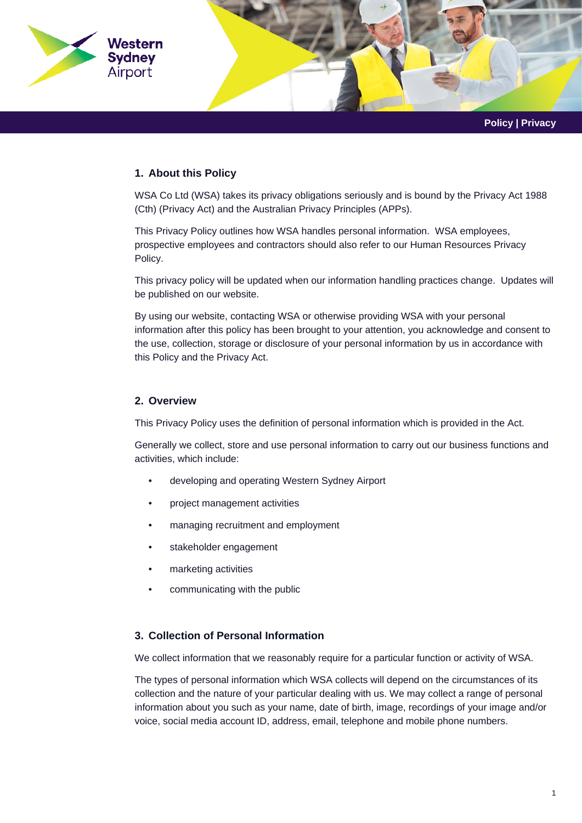

**Policy | Privacy**

## **1. About this Policy**

WSA Co Ltd (WSA) takes its privacy obligations seriously and is bound by the Privacy Act 1988 (Cth) (Privacy Act) and the Australian Privacy Principles (APPs).

This Privacy Policy outlines how WSA handles personal information. WSA employees, prospective employees and contractors should also refer to our Human Resources Privacy Policy.

This privacy policy will be updated when our information handling practices change. Updates will be published on our website.

By using our website, contacting WSA or otherwise providing WSA with your personal information after this policy has been brought to your attention, you acknowledge and consent to the use, collection, storage or disclosure of your personal information by us in accordance with this Policy and the Privacy Act.

## **2. Overview**

This Privacy Policy uses the definition of personal information which is provided in the Act.

Generally we collect, store and use personal information to carry out our business functions and activities, which include:

- developing and operating Western Sydney Airport
- project management activities
- managing recruitment and employment
- stakeholder engagement
- marketing activities
- communicating with the public

# **3. Collection of Personal Information**

We collect information that we reasonably require for a particular function or activity of WSA.

The types of personal information which WSA collects will depend on the circumstances of its collection and the nature of your particular dealing with us. We may collect a range of personal information about you such as your name, date of birth, image, recordings of your image and/or voice, social media account ID, address, email, telephone and mobile phone numbers.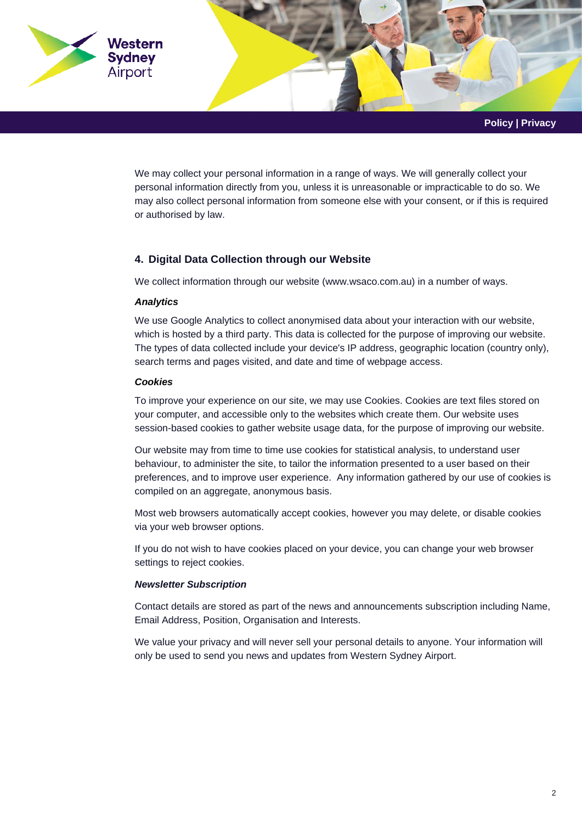

We may collect your personal information in a range of ways. We will generally collect your personal information directly from you, unless it is unreasonable or impracticable to do so. We may also collect personal information from someone else with your consent, or if this is required or authorised by law.

# **4. Digital Data Collection through our Website**

We collect information through our website [\(www.wsaco.com.au\)](http://www.wsaco.com.au/) in a number of ways.

#### *Analytics*

We use Google Analytics to collect anonymised data about your interaction with our website, which is hosted by a third party. This data is collected for the purpose of improving our website. The types of data collected include your device's IP address, geographic location (country only), search terms and pages visited, and date and time of webpage access.

## *Cookies*

To improve your experience on our site, we may use Cookies. Cookies are text files stored on your computer, and accessible only to the websites which create them. Our website uses session-based cookies to gather website usage data, for the purpose of improving our website.

Our website may from time to time use cookies for statistical analysis, to understand user behaviour, to administer the site, to tailor the information presented to a user based on their preferences, and to improve user experience. Any information gathered by our use of cookies is compiled on an aggregate, anonymous basis.

Most web browsers automatically accept cookies, however you may delete, or disable cookies via your web browser options.

If you do not wish to have cookies placed on your device, you can change your web browser settings to reject cookies.

#### *Newsletter Subscription*

Contact details are stored as part of the news and announcements subscription including Name, Email Address, Position, Organisation and Interests.

We value your privacy and will never sell your personal details to anyone. Your information will only be used to send you news and updates from Western Sydney Airport.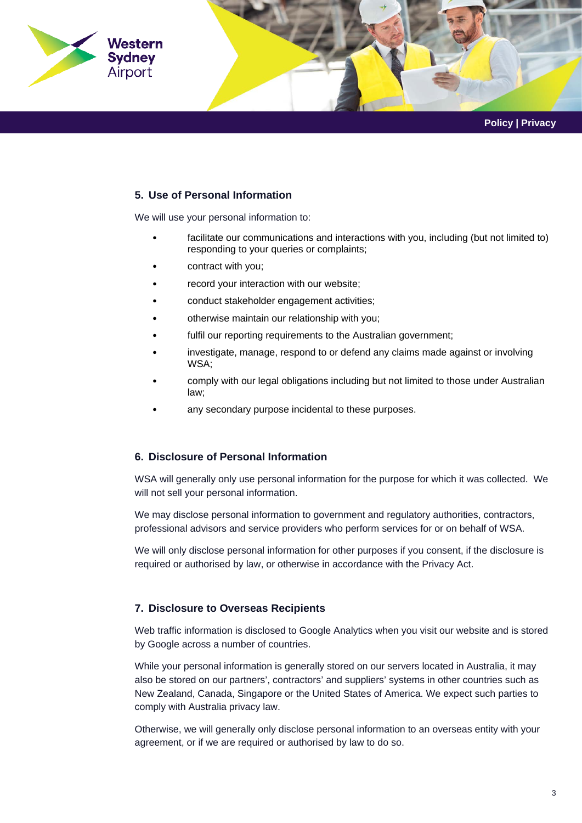

## **5. Use of Personal Information**

We will use your personal information to:

- facilitate our communications and interactions with you, including (but not limited to) responding to your queries or complaints;
- contract with you;
- record your interaction with our website;
- conduct stakeholder engagement activities;
- otherwise maintain our relationship with you;
- fulfil our reporting requirements to the Australian government;
- investigate, manage, respond to or defend any claims made against or involving WSA;
- comply with our legal obligations including but not limited to those under Australian law;
- any secondary purpose incidental to these purposes.

#### **6. Disclosure of Personal Information**

WSA will generally only use personal information for the purpose for which it was collected. We will not sell your personal information.

We may disclose personal information to government and regulatory authorities, contractors, professional advisors and service providers who perform services for or on behalf of WSA.

We will only disclose personal information for other purposes if you consent, if the disclosure is required or authorised by law, or otherwise in accordance with the Privacy Act.

# **7. Disclosure to Overseas Recipients**

Web traffic information is disclosed to Google Analytics when you visit our website and is stored by Google across a number of countries.

While your personal information is generally stored on our servers located in Australia, it may also be stored on our partners', contractors' and suppliers' systems in other countries such as New Zealand, Canada, Singapore or the United States of America. We expect such parties to comply with Australia privacy law.

Otherwise, we will generally only disclose personal information to an overseas entity with your agreement, or if we are required or authorised by law to do so.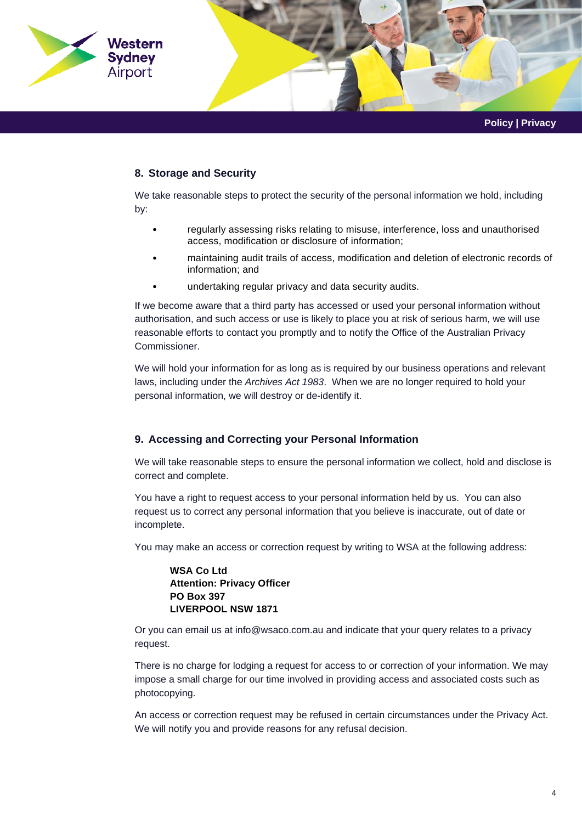

# **8. Storage and Security**

We take reasonable steps to protect the security of the personal information we hold, including by:

- regularly assessing risks relating to misuse, interference, loss and unauthorised access, modification or disclosure of information;
- maintaining audit trails of access, modification and deletion of electronic records of information; and
- undertaking regular privacy and data security audits.

If we become aware that a third party has accessed or used your personal information without authorisation, and such access or use is likely to place you at risk of serious harm, we will use reasonable efforts to contact you promptly and to notify the Office of the Australian Privacy Commissioner.

We will hold your information for as long as is required by our business operations and relevant laws, including under the *Archives Act 1983*. When we are no longer required to hold your personal information, we will destroy or de-identify it.

# **9. Accessing and Correcting your Personal Information**

We will take reasonable steps to ensure the personal information we collect, hold and disclose is correct and complete.

You have a right to request access to your personal information held by us. You can also request us to correct any personal information that you believe is inaccurate, out of date or incomplete.

You may make an access or correction request by writing to WSA at the following address:

## **WSA Co Ltd Attention: Privacy Officer PO Box 397 LIVERPOOL NSW 1871**

Or you can email us a[t info@wsaco.com.au](mailto:info@wsaco.com.au) and indicate that your query relates to a privacy request.

There is no charge for lodging a request for access to or correction of your information. We may impose a small charge for our time involved in providing access and associated costs such as photocopying.

An access or correction request may be refused in certain circumstances under the Privacy Act. We will notify you and provide reasons for any refusal decision.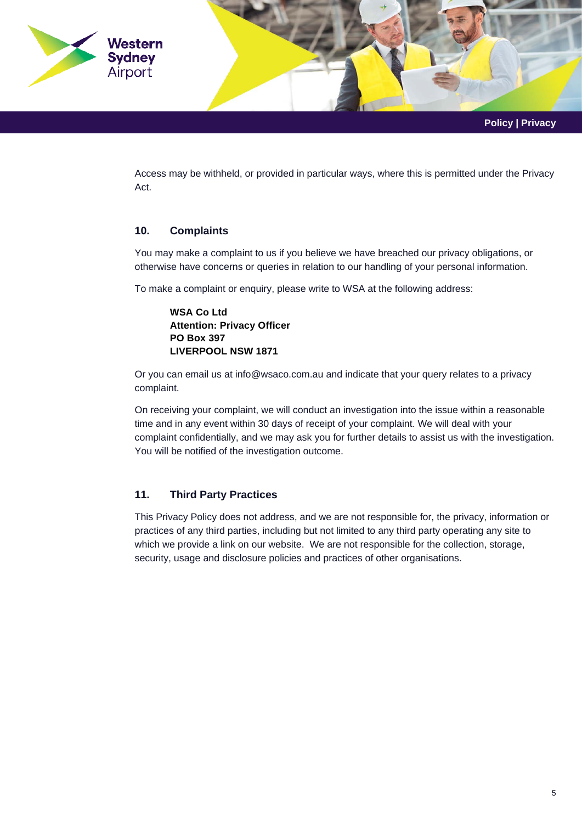

Access may be withheld, or provided in particular ways, where this is permitted under the Privacy Act.

# **10. Complaints**

You may make a complaint to us if you believe we have breached our privacy obligations, or otherwise have concerns or queries in relation to our handling of your personal information.

To make a complaint or enquiry, please write to WSA at the following address:

**WSA Co Ltd Attention: Privacy Officer PO Box 397 LIVERPOOL NSW 1871** 

Or you can email us at [info@wsaco.com.au](mailto:info@wsaco.com.au) and indicate that your query relates to a privacy complaint.

On receiving your complaint, we will conduct an investigation into the issue within a reasonable time and in any event within 30 days of receipt of your complaint. We will deal with your complaint confidentially, and we may ask you for further details to assist us with the investigation. You will be notified of the investigation outcome.

# **11. Third Party Practices**

This Privacy Policy does not address, and we are not responsible for, the privacy, information or practices of any third parties, including but not limited to any third party operating any site to which we provide a link on our website. We are not responsible for the collection, storage, security, usage and disclosure policies and practices of other organisations.